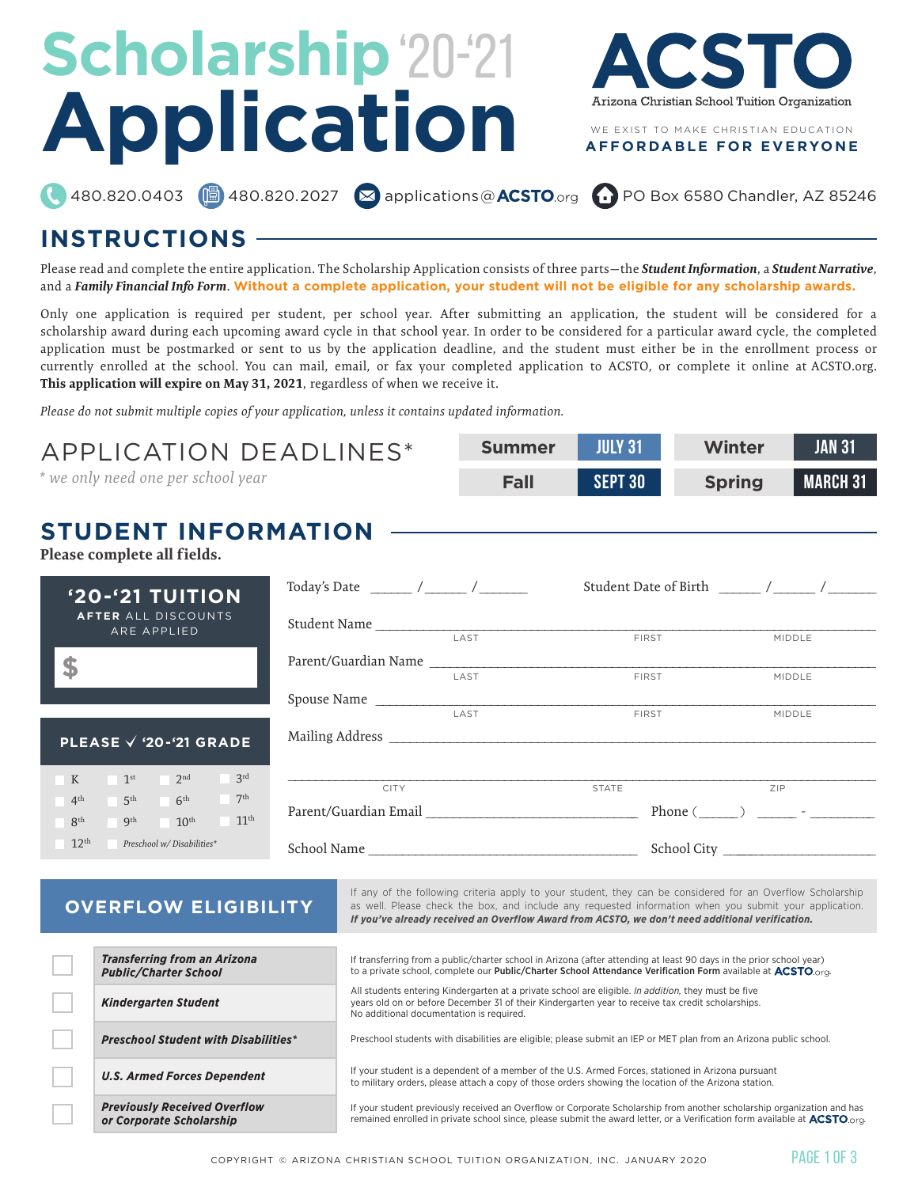# Scholarship '20-'21 **Application**



#### **AFFORDABLE FOR EVERYONE**

480.820.0403 **6** 480.820.2027 **8** applications@ **ACSTO**.org **CO** PO Box 6580 Chandler, AZ 85246

## **INSTRUCTIONS**

*Previously Received Overflow or Corporate Scholarship*

Please read and complete the entire application. The Scholarship Application consists of three parts—the *Student Information*, a *Student Narrative*, and a *Family Financial Info Form*. **Without a complete application, your student will not be eligible for any scholarship awards.**

Only one application is required per student, per school year. After submitting an application, the student will be considered for a scholarship award during each upcoming award cycle in that school year. In order to be considered for a particular award cycle, the completed application must be postmarked or sent to us by the application deadline, and the student must either be in the enrollment process or currently enrolled at the school. You can mail, email, or fax your completed application to ACSTO, or complete it online at ACSTO.org. **This application will expire on May 31, 2021**, regardless of when we receive it.

*Please do not submit multiple copies of your application, unless it contains updated information.*

**STUDENT INFORMATION** Please complete all fields. **'20-'21 TUITION AFTER** ALL DISCOUNTS ARE APPLIED **\$ PLEASE '20-'21 GRADE** K  $1^{\text{st}}$   $2^{\text{nd}}$   $3^{\text{rd}}$  $4^{\text{th}}$  5<sup>th</sup> 6<sup>th</sup> 7<sup>th</sup>  $8<sup>th</sup>$  9<sup>th</sup> 10<sup>th</sup> 11<sup>th</sup> 12th *Preschool w/ Disabilities\** If any of the following criteria apply to your student, they can be considered for an Overflow Scholarship as well. Please check the box, and include any requested information when you submit your application. *If you've already received an Overflow Award from ACSTO, we don't need additional verification.* **OVERFLOW ELIGIBILITY** *Transferring from an Arizona Public/Charter School* If transferring from a public/charter school in Arizona (after attending at least 90 days in the prior school year) to a private school, complete our Public/Charter School Attendance Verification Form available at **ACSTO** org. *Kindergarten Student* All students entering Kindergarten at a private school are eligible. *In addition,* they must be five years old on or before December 31 of their Kindergarten year to receive tax credit scholarships. No additional documentation is required. **Summer July 31 Fall sept 30 Winter Jan 31 Spring March 31** APPLICATION DEADLINES\* *\* we only need one per school year* Student Name \_\_\_\_\_\_\_\_\_\_\_\_\_\_\_\_\_\_\_\_\_\_\_\_\_\_\_\_\_\_\_\_\_\_\_\_\_\_\_\_\_\_\_\_\_\_\_\_\_\_\_\_\_\_\_\_\_\_\_\_\_\_\_\_\_\_\_\_\_\_\_\_\_\_ Parent/Guardian Name Spouse Name \_\_\_\_\_\_\_\_\_\_\_\_\_\_\_\_\_\_\_\_\_\_\_\_\_\_\_\_\_\_\_\_\_\_\_\_\_\_\_\_\_\_\_\_\_\_\_\_\_\_\_\_\_\_\_\_\_\_\_\_\_\_\_\_\_\_\_\_\_\_\_\_\_\_ Mailing Address  $\mathcal{L}_\mathcal{L} = \{ \mathcal{L}_\mathcal{L} = \{ \mathcal{L}_\mathcal{L} = \{ \mathcal{L}_\mathcal{L} = \{ \mathcal{L}_\mathcal{L} = \{ \mathcal{L}_\mathcal{L} = \{ \mathcal{L}_\mathcal{L} = \{ \mathcal{L}_\mathcal{L} = \{ \mathcal{L}_\mathcal{L} = \{ \mathcal{L}_\mathcal{L} = \{ \mathcal{L}_\mathcal{L} = \{ \mathcal{L}_\mathcal{L} = \{ \mathcal{L}_\mathcal{L} = \{ \mathcal{L}_\mathcal{L} = \{ \mathcal{L}_\mathcal{$ Parent/Guardian Email School Name Today's Date \_\_\_\_\_\_ / \_\_\_\_\_\_ / \_\_\_\_\_\_\_ Student Date of Birth \_\_\_\_\_ / \_\_\_\_\_ / School City \_\_\_\_\_\_\_\_\_\_\_\_\_\_\_\_\_\_\_\_\_\_\_\_ Phone ( $\_\_\_\_\_\$ MIDDLE MIDDLE LAST FIRST MIDDLE CITY STATE ZIP

*Preschool Student with Disabilities\** Preschool students with disabilities are eligible; please submit an IEP or MET plan from an Arizona public school.

*U.S. Armed Forces Dependent* If your student is a dependent of a member of the U.S. Armed Forces, stationed in Arizona pursuant<br>Armed Forces Dependent to military orders, please attach a copy of those orders showing the location of the Arizona station.

> If your student previously received an Overflow or Corporate Scholarship from another scholarship organization and has remained enrolled in private school since, please submit the award letter, or a Verification form available at  $ACSTO$ .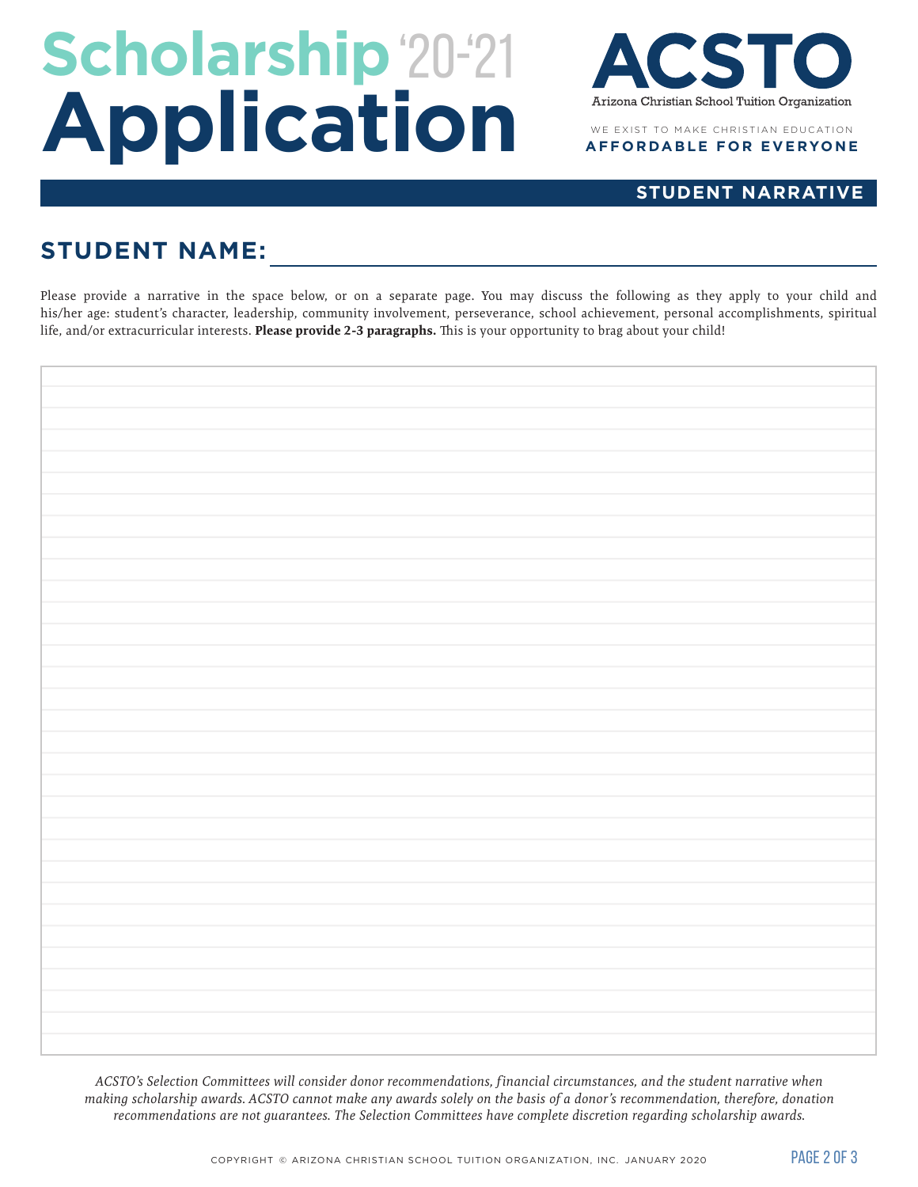# Scholarship '20-'21 **Application**



### **STUDENT NARRATIVE**

## **STUDENT NAME:**

Please provide a narrative in the space below, or on a separate page. You may discuss the following as they apply to your child and his/her age: student's character, leadership, community involvement, perseverance, school achievement, personal accomplishments, spiritual life, and/or extracurricular interests. **Please provide 2-3 paragraphs.** This is your opportunity to brag about your child!

*ACSTO's Selection Committees will consider donor recommendations, f inancial circumstances, and the student narrative when making scholarship awards. ACSTO cannot make any awards solely on the basis of a donor's recommendation, therefore, donation recommendations are not guarantees. The Selection Committees have complete discretion regarding scholarship awards.*